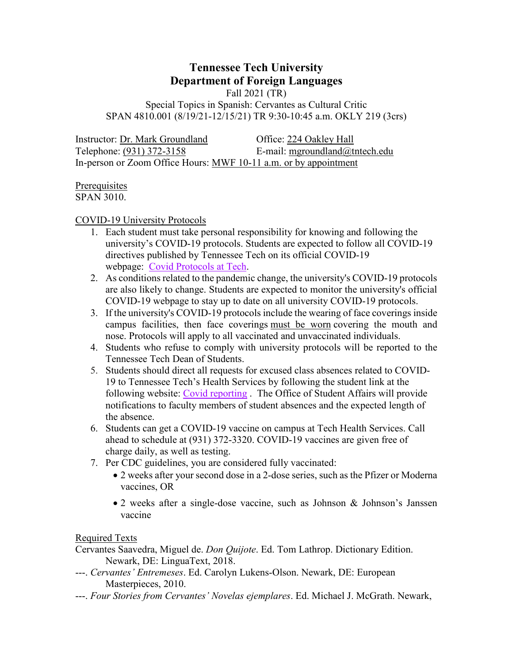# **Tennessee Tech University Department of Foreign Languages**

Fall 2021 (TR)

Special Topics in Spanish: Cervantes as Cultural Critic SPAN 4810.001 (8/19/21-12/15/21) TR 9:30-10:45 a.m. OKLY 219 (3crs)

Instructor: Dr. Mark Groundland Office: 224 Oakley Hall Telephone: (931) 372-3158 E-mail: mgroundland@tntech.edu In-person or Zoom Office Hours: MWF 10-11 a.m. or by appointment

## **Prerequisites** SPAN 3010.

COVID-19 University Protocols

- 1. Each student must take personal responsibility for knowing and following the university's COVID-19 protocols. Students are expected to follow all COVID-19 directives published by Tennessee Tech on its official COVID-19 webpage: [Covid Protocols at Tech.](http://www.tntech.edu/covid19)
- 2. As conditions related to the pandemic change, the university's COVID-19 protocols are also likely to change. Students are expected to monitor the university's official COVID-19 webpage to stay up to date on all university COVID-19 protocols.
- 3. If the university's COVID-19 protocols include the wearing of face coverings inside campus facilities, then face coverings must be worn covering the mouth and nose. Protocols will apply to all vaccinated and unvaccinated individuals.
- 4. Students who refuse to comply with university protocols will be reported to the Tennessee Tech Dean of Students.
- 5. Students should direct all requests for excused class absences related to COVID-19 to Tennessee Tech's Health Services by following the student link at the following website: [Covid reporting](http://www.tntech.edu/covid19/report.php). The Office of Student Affairs will provide notifications to faculty members of student absences and the expected length of the absence.
- 6. Students can get a COVID-19 vaccine on campus at Tech Health Services. Call ahead to schedule at (931) 372-3320. COVID-19 vaccines are given free of charge daily, as well as testing.
- 7. Per CDC guidelines, you are considered fully vaccinated:
	- 2 weeks after your second dose in a 2-dose series, such as the Pfizer or Moderna vaccines, OR
	- 2 weeks after a single-dose vaccine, such as Johnson & Johnson's Janssen vaccine

Required Texts

- Cervantes Saavedra, Miguel de. *Don Quijote*. Ed. Tom Lathrop. Dictionary Edition. Newark, DE: LinguaText, 2018.
- ---. *Cervantes' Entremeses*. Ed. Carolyn Lukens-Olson. Newark, DE: European Masterpieces, 2010.
- ---. *Four Stories from Cervantes' Novelas ejemplares*. Ed. Michael J. McGrath. Newark,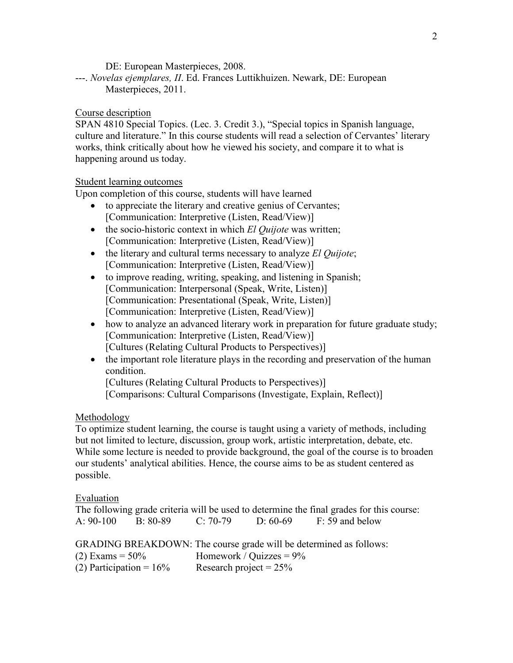DE: European Masterpieces, 2008.

---. *Novelas ejemplares, II*. Ed. Frances Luttikhuizen. Newark, DE: European Masterpieces, 2011.

## Course description

SPAN 4810 Special Topics. (Lec. 3. Credit 3.), "Special topics in Spanish language, culture and literature." In this course students will read a selection of Cervantes' literary works, think critically about how he viewed his society, and compare it to what is happening around us today.

# Student learning outcomes

Upon completion of this course, students will have learned

- to appreciate the literary and creative genius of Cervantes; [Communication: Interpretive (Listen, Read/View)]
- the socio-historic context in which *El Quijote* was written; [Communication: Interpretive (Listen, Read/View)]
- the literary and cultural terms necessary to analyze *El Quijote*; [Communication: Interpretive (Listen, Read/View)]
- to improve reading, writing, speaking, and listening in Spanish; [Communication: Interpersonal (Speak, Write, Listen)] [Communication: Presentational (Speak, Write, Listen)] [Communication: Interpretive (Listen, Read/View)]
- how to analyze an advanced literary work in preparation for future graduate study; [Communication: Interpretive (Listen, Read/View)] [Cultures (Relating Cultural Products to Perspectives)]
- the important role literature plays in the recording and preservation of the human condition.

[Cultures (Relating Cultural Products to Perspectives)] [Comparisons: Cultural Comparisons (Investigate, Explain, Reflect)]

# Methodology

To optimize student learning, the course is taught using a variety of methods, including but not limited to lecture, discussion, group work, artistic interpretation, debate, etc. While some lecture is needed to provide background, the goal of the course is to broaden our students' analytical abilities. Hence, the course aims to be as student centered as possible.

# Evaluation

|             |          |            |            | The following grade criteria will be used to determine the final grades for this course: |  |
|-------------|----------|------------|------------|------------------------------------------------------------------------------------------|--|
| $A: 90-100$ | B: 80-89 | $C: 70-79$ | D: $60-69$ | F: 59 and below                                                                          |  |

GRADING BREAKDOWN: The course grade will be determined as follows:

(2) Exams =  $50\%$  Homework / Quizzes =  $9\%$ 

| (2) Participation = $16\%$ | Research project = $25\%$ |
|----------------------------|---------------------------|
|----------------------------|---------------------------|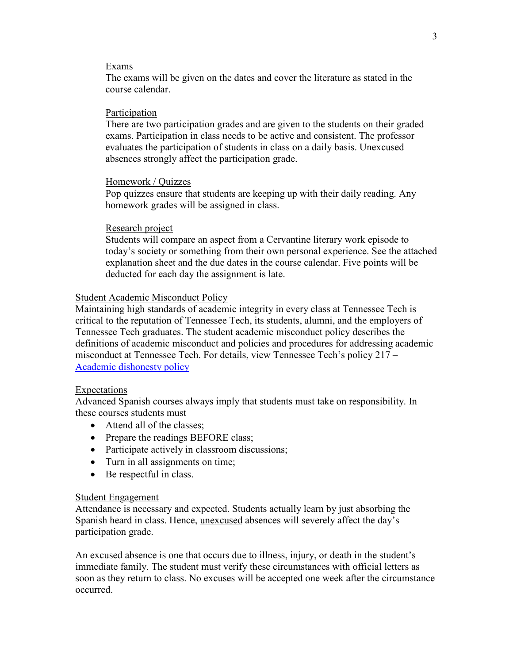#### Exams

The exams will be given on the dates and cover the literature as stated in the course calendar.

### Participation

There are two participation grades and are given to the students on their graded exams. Participation in class needs to be active and consistent. The professor evaluates the participation of students in class on a daily basis. Unexcused absences strongly affect the participation grade.

### Homework / Quizzes

Pop quizzes ensure that students are keeping up with their daily reading. Any homework grades will be assigned in class.

### Research project

Students will compare an aspect from a Cervantine literary work episode to today's society or something from their own personal experience. See the attached explanation sheet and the due dates in the course calendar. Five points will be deducted for each day the assignment is late.

### Student Academic Misconduct Policy

Maintaining high standards of academic integrity in every class at Tennessee Tech is critical to the reputation of Tennessee Tech, its students, alumni, and the employers of Tennessee Tech graduates. The student academic misconduct policy describes the definitions of academic misconduct and policies and procedures for addressing academic misconduct at Tennessee Tech. For details, view Tennessee Tech's policy 217 – [Academic dishonesty policy](https://tntech.policytech.com/dotNet/documents/?docid=701)

## Expectations

Advanced Spanish courses always imply that students must take on responsibility. In these courses students must

- Attend all of the classes:
- Prepare the readings BEFORE class;
- Participate actively in classroom discussions;
- Turn in all assignments on time:
- Be respectful in class.

#### Student Engagement

Attendance is necessary and expected. Students actually learn by just absorbing the Spanish heard in class. Hence, unexcused absences will severely affect the day's participation grade.

An excused absence is one that occurs due to illness, injury, or death in the student's immediate family. The student must verify these circumstances with official letters as soon as they return to class. No excuses will be accepted one week after the circumstance occurred.